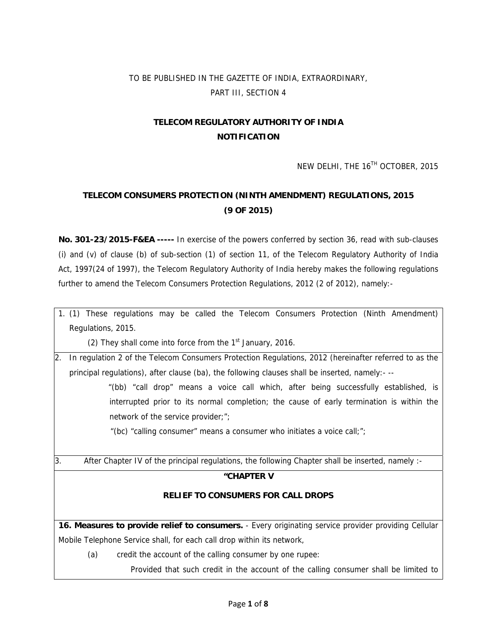# TO BE PUBLISHED IN THE GAZETTE OF INDIA, EXTRAORDINARY, PART III, SECTION 4

# **TELECOM REGULATORY AUTHORITY OF INDIA NOTIFICATION**

NEW DELHI, THE 16<sup>TH</sup> OCTOBER, 2015

# **TELECOM CONSUMERS PROTECTION (NINTH AMENDMENT) REGULATIONS, 2015 (9 OF 2015)**

**No. 301-23/2015-F&EA -----** In exercise of the powers conferred by section 36, read with sub-clauses (i) and (v) of clause (b) of sub-section (1) of section 11, of the Telecom Regulatory Authority of India Act, 1997(24 of 1997), the Telecom Regulatory Authority of India hereby makes the following regulations further to amend the Telecom Consumers Protection Regulations, 2012 (2 of 2012), namely:-

1. (1) These regulations may be called the Telecom Consumers Protection (Ninth Amendment) Regulations, 2015.

(2) They shall come into force from the  $1<sup>st</sup>$  January, 2016.

2. In regulation 2 of the Telecom Consumers Protection Regulations, 2012 (hereinafter referred to as the principal regulations), after clause (ba), the following clauses shall be inserted, namely:- --

> "(bb) "call drop" means a voice call which, after being successfully established, is interrupted prior to its normal completion; the cause of early termination is within the network of the service provider;";

"(bc) "calling consumer" means a consumer who initiates a voice call;";

3. After Chapter IV of the principal regulations, the following Chapter shall be inserted, namely :-

### **"CHAPTER V**

### **RELIEF TO CONSUMERS FOR CALL DROPS**

**16. Measures to provide relief to consumers.** - Every originating service provider providing Cellular Mobile Telephone Service shall, for each call drop within its network,

(a) credit the account of the calling consumer by one rupee:

Provided that such credit in the account of the calling consumer shall be limited to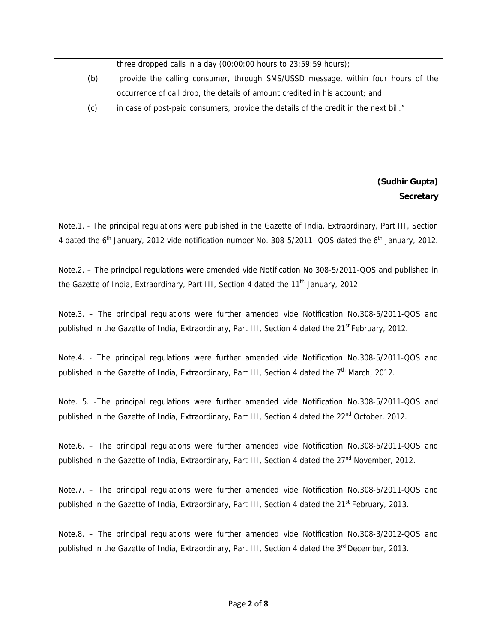|     | three dropped calls in a day $(00:00:00$ hours to $23:59:59$ hours);                 |
|-----|--------------------------------------------------------------------------------------|
| (b) | provide the calling consumer, through SMS/USSD message, within four hours of the     |
|     | occurrence of call drop, the details of amount credited in his account; and          |
| (c) | in case of post-paid consumers, provide the details of the credit in the next bill." |

### **(Sudhir Gupta) Secretary**

Note.1. - The principal regulations were published in the Gazette of India, Extraordinary, Part III, Section 4 dated the 6<sup>th</sup> January, 2012 vide notification number No. 308-5/2011- QOS dated the 6<sup>th</sup> January, 2012.

Note.2. – The principal regulations were amended vide Notification No.308-5/2011-QOS and published in the Gazette of India, Extraordinary, Part III, Section 4 dated the 11<sup>th</sup> January, 2012.

Note.3. – The principal regulations were further amended vide Notification No.308-5/2011-QOS and published in the Gazette of India, Extraordinary, Part III, Section 4 dated the 21<sup>st</sup> February, 2012.

Note.4. - The principal regulations were further amended vide Notification No.308-5/2011-QOS and published in the Gazette of India, Extraordinary, Part III, Section 4 dated the  $7<sup>th</sup>$  March, 2012.

Note. 5. -The principal regulations were further amended vide Notification No.308-5/2011-QOS and published in the Gazette of India, Extraordinary, Part III, Section 4 dated the 22<sup>nd</sup> October, 2012.

Note.6. – The principal regulations were further amended vide Notification No.308-5/2011-QOS and published in the Gazette of India, Extraordinary, Part III, Section 4 dated the  $27<sup>nd</sup>$  November, 2012.

Note.7. – The principal regulations were further amended vide Notification No.308-5/2011-QOS and published in the Gazette of India, Extraordinary, Part III, Section 4 dated the 21<sup>st</sup> February, 2013.

Note.8. – The principal regulations were further amended vide Notification No.308-3/2012-QOS and published in the Gazette of India, Extraordinary, Part III, Section 4 dated the 3<sup>rd</sup> December, 2013.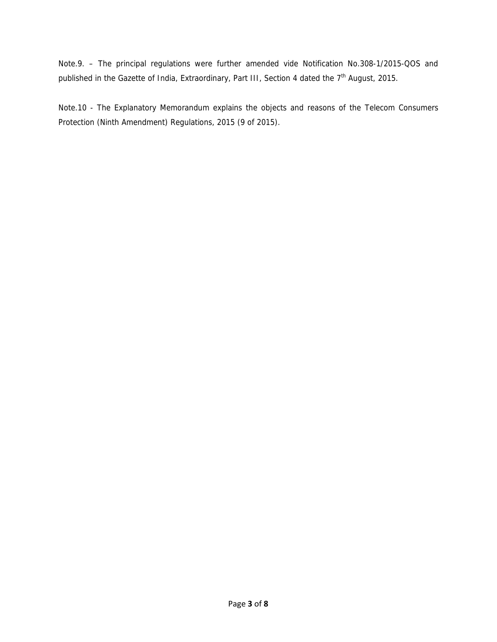Note.9. – The principal regulations were further amended vide Notification No.308-1/2015-QOS and published in the Gazette of India, Extraordinary, Part III, Section 4 dated the 7<sup>th</sup> August, 2015.

Note.10 - The Explanatory Memorandum explains the objects and reasons of the Telecom Consumers Protection (Ninth Amendment) Regulations, 2015 (9 of 2015).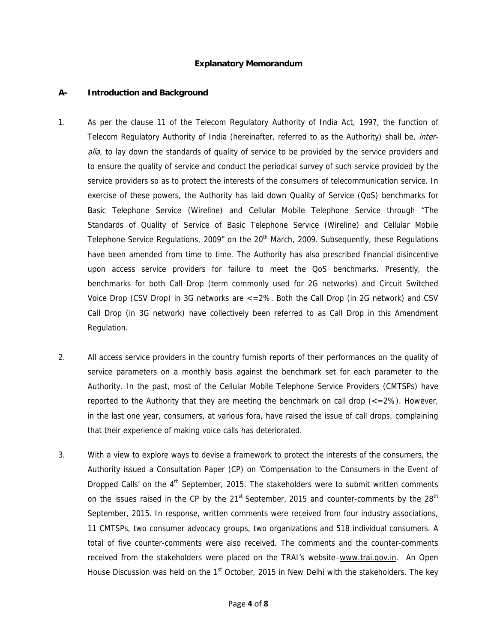#### **Explanatory Memorandum**

#### **A- Introduction and Background**

- 1. As per the clause 11 of the Telecom Regulatory Authority of India Act, 1997, the function of Telecom Regulatory Authority of India (hereinafter, referred to as the Authority) shall be, *inter*alia, to lay down the standards of quality of service to be provided by the service providers and to ensure the quality of service and conduct the periodical survey of such service provided by the service providers so as to protect the interests of the consumers of telecommunication service. In exercise of these powers, the Authority has laid down Quality of Service (QoS) benchmarks for Basic Telephone Service (Wireline) and Cellular Mobile Telephone Service through "The Standards of Quality of Service of Basic Telephone Service (Wireline) and Cellular Mobile Telephone Service Regulations, 2009" on the  $20<sup>th</sup>$  March, 2009. Subsequently, these Regulations have been amended from time to time. The Authority has also prescribed financial disincentive upon access service providers for failure to meet the QoS benchmarks. Presently, the benchmarks for both Call Drop (term commonly used for 2G networks) and Circuit Switched Voice Drop (CSV Drop) in 3G networks are <=2%. Both the Call Drop (in 2G network) and CSV Call Drop (in 3G network) have collectively been referred to as Call Drop in this Amendment Regulation.
- 2. All access service providers in the country furnish reports of their performances on the quality of service parameters on a monthly basis against the benchmark set for each parameter to the Authority. In the past, most of the Cellular Mobile Telephone Service Providers (CMTSPs) have reported to the Authority that they are meeting the benchmark on call drop  $\left\langle \langle -2\% \rangle \right\rangle$ . However, in the last one year, consumers, at various fora, have raised the issue of call drops, complaining that their experience of making voice calls has deteriorated.
- 3. With a view to explore ways to devise a framework to protect the interests of the consumers, the Authority issued a Consultation Paper (CP) on 'Compensation to the Consumers in the Event of Dropped Calls' on the 4<sup>th</sup> September, 2015. The stakeholders were to submit written comments on the issues raised in the CP by the  $21<sup>st</sup>$  September, 2015 and counter-comments by the  $28<sup>th</sup>$ September, 2015. In response, written comments were received from four industry associations, 11 CMTSPs, two consumer advocacy groups, two organizations and 518 individual consumers. A total of five counter-comments were also received. The comments and the counter-comments received from the stakeholders were placed on the TRAI's website-www.trai.gov.in. An Open House Discussion was held on the  $1<sup>st</sup>$  October, 2015 in New Delhi with the stakeholders. The key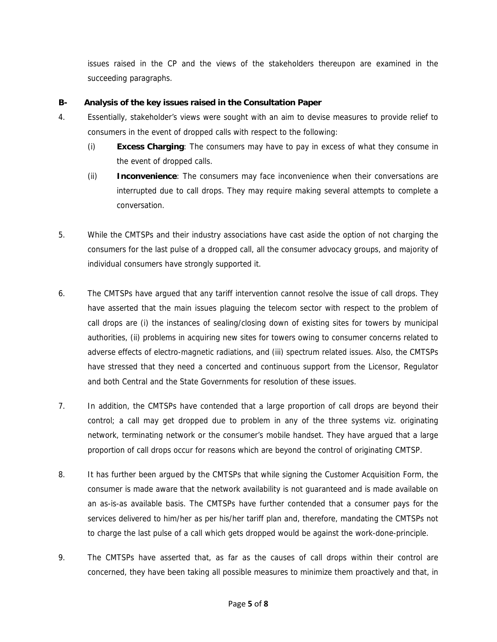issues raised in the CP and the views of the stakeholders thereupon are examined in the succeeding paragraphs.

### **B- Analysis of the key issues raised in the Consultation Paper**

- 4. Essentially, stakeholder's views were sought with an aim to devise measures to provide relief to consumers in the event of dropped calls with respect to the following:
	- (i) **Excess Charging**: The consumers may have to pay in excess of what they consume in the event of dropped calls.
	- (ii) **Inconvenience**: The consumers may face inconvenience when their conversations are interrupted due to call drops. They may require making several attempts to complete a conversation.
- 5. While the CMTSPs and their industry associations have cast aside the option of not charging the consumers for the last pulse of a dropped call, all the consumer advocacy groups, and majority of individual consumers have strongly supported it.
- 6. The CMTSPs have argued that any tariff intervention cannot resolve the issue of call drops. They have asserted that the main issues plaguing the telecom sector with respect to the problem of call drops are (i) the instances of sealing/closing down of existing sites for towers by municipal authorities, (ii) problems in acquiring new sites for towers owing to consumer concerns related to adverse effects of electro-magnetic radiations, and (iii) spectrum related issues. Also, the CMTSPs have stressed that they need a concerted and continuous support from the Licensor, Regulator and both Central and the State Governments for resolution of these issues.
- 7. In addition, the CMTSPs have contended that a large proportion of call drops are beyond their control; a call may get dropped due to problem in any of the three systems viz. originating network, terminating network or the consumer's mobile handset. They have argued that a large proportion of call drops occur for reasons which are beyond the control of originating CMTSP.
- 8. It has further been argued by the CMTSPs that while signing the Customer Acquisition Form, the consumer is made aware that the network availability is not guaranteed and is made available on an as-is-as available basis. The CMTSPs have further contended that a consumer pays for the services delivered to him/her as per his/her tariff plan and, therefore, mandating the CMTSPs not to charge the last pulse of a call which gets dropped would be against the work-done-principle.
- 9. The CMTSPs have asserted that, as far as the causes of call drops within their control are concerned, they have been taking all possible measures to minimize them proactively and that, in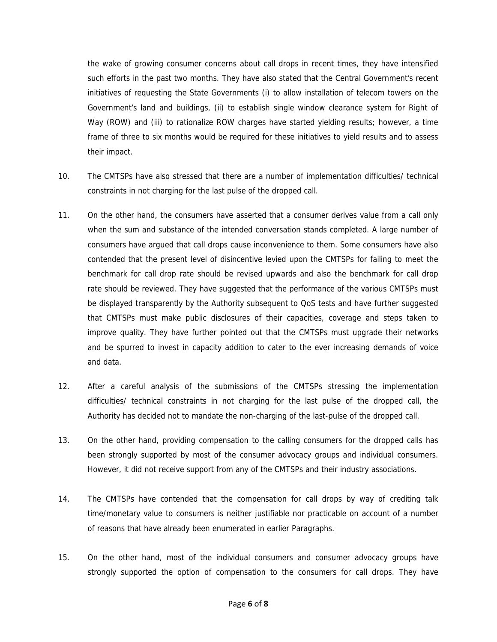the wake of growing consumer concerns about call drops in recent times, they have intensified such efforts in the past two months. They have also stated that the Central Government's recent initiatives of requesting the State Governments (i) to allow installation of telecom towers on the Government's land and buildings, (ii) to establish single window clearance system for Right of Way (ROW) and (iii) to rationalize ROW charges have started yielding results; however, a time frame of three to six months would be required for these initiatives to yield results and to assess their impact.

- 10. The CMTSPs have also stressed that there are a number of implementation difficulties/ technical constraints in not charging for the last pulse of the dropped call.
- 11. On the other hand, the consumers have asserted that a consumer derives value from a call only when the sum and substance of the intended conversation stands completed. A large number of consumers have argued that call drops cause inconvenience to them. Some consumers have also contended that the present level of disincentive levied upon the CMTSPs for failing to meet the benchmark for call drop rate should be revised upwards and also the benchmark for call drop rate should be reviewed. They have suggested that the performance of the various CMTSPs must be displayed transparently by the Authority subsequent to QoS tests and have further suggested that CMTSPs must make public disclosures of their capacities, coverage and steps taken to improve quality. They have further pointed out that the CMTSPs must upgrade their networks and be spurred to invest in capacity addition to cater to the ever increasing demands of voice and data.
- 12. After a careful analysis of the submissions of the CMTSPs stressing the implementation difficulties/ technical constraints in not charging for the last pulse of the dropped call, the Authority has decided not to mandate the non-charging of the last-pulse of the dropped call.
- 13. On the other hand, providing compensation to the calling consumers for the dropped calls has been strongly supported by most of the consumer advocacy groups and individual consumers. However, it did not receive support from any of the CMTSPs and their industry associations.
- 14. The CMTSPs have contended that the compensation for call drops by way of crediting talk time/monetary value to consumers is neither justifiable nor practicable on account of a number of reasons that have already been enumerated in earlier Paragraphs.
- 15. On the other hand, most of the individual consumers and consumer advocacy groups have strongly supported the option of compensation to the consumers for call drops. They have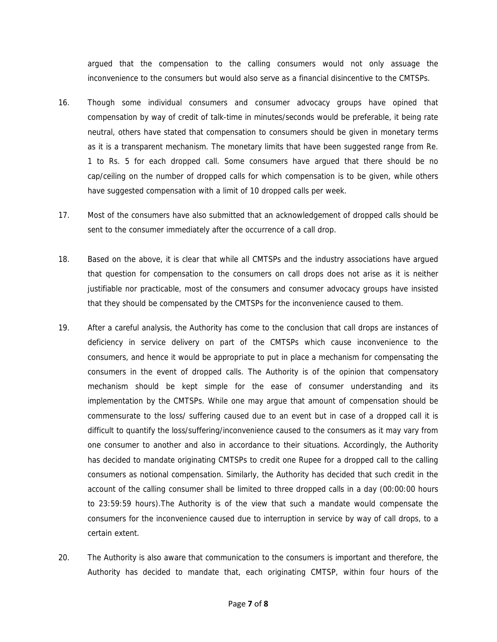argued that the compensation to the calling consumers would not only assuage the inconvenience to the consumers but would also serve as a financial disincentive to the CMTSPs.

- 16. Though some individual consumers and consumer advocacy groups have opined that compensation by way of credit of talk-time in minutes/seconds would be preferable, it being rate neutral, others have stated that compensation to consumers should be given in monetary terms as it is a transparent mechanism. The monetary limits that have been suggested range from Re. 1 to Rs. 5 for each dropped call. Some consumers have argued that there should be no cap/ceiling on the number of dropped calls for which compensation is to be given, while others have suggested compensation with a limit of 10 dropped calls per week.
- 17. Most of the consumers have also submitted that an acknowledgement of dropped calls should be sent to the consumer immediately after the occurrence of a call drop.
- 18. Based on the above, it is clear that while all CMTSPs and the industry associations have argued that question for compensation to the consumers on call drops does not arise as it is neither justifiable nor practicable, most of the consumers and consumer advocacy groups have insisted that they should be compensated by the CMTSPs for the inconvenience caused to them.
- 19. After a careful analysis, the Authority has come to the conclusion that call drops are instances of deficiency in service delivery on part of the CMTSPs which cause inconvenience to the consumers, and hence it would be appropriate to put in place a mechanism for compensating the consumers in the event of dropped calls. The Authority is of the opinion that compensatory mechanism should be kept simple for the ease of consumer understanding and its implementation by the CMTSPs. While one may argue that amount of compensation should be commensurate to the loss/ suffering caused due to an event but in case of a dropped call it is difficult to quantify the loss/suffering/inconvenience caused to the consumers as it may vary from one consumer to another and also in accordance to their situations. Accordingly, the Authority has decided to mandate originating CMTSPs to credit one Rupee for a dropped call to the calling consumers as notional compensation. Similarly, the Authority has decided that such credit in the account of the calling consumer shall be limited to three dropped calls in a day (00:00:00 hours to 23:59:59 hours).The Authority is of the view that such a mandate would compensate the consumers for the inconvenience caused due to interruption in service by way of call drops, to a certain extent.
- 20. The Authority is also aware that communication to the consumers is important and therefore, the Authority has decided to mandate that, each originating CMTSP, within four hours of the